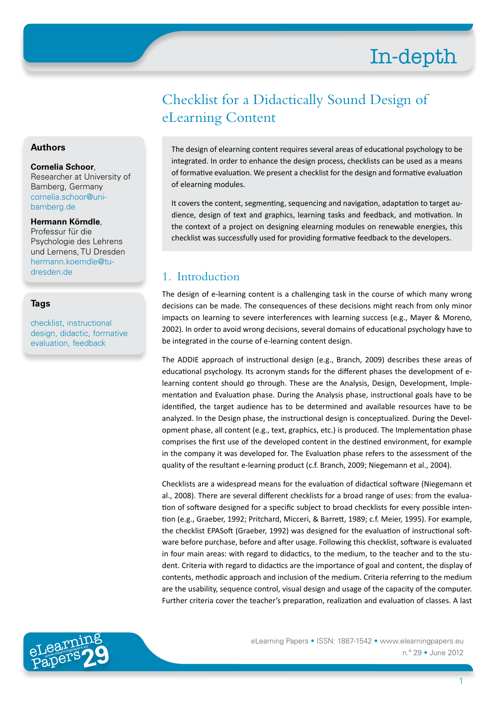# Checklist for a Didactically Sound Design of eLearning Content

The design of elearning content requires several areas of educational psychology to be integrated. In order to enhance the design process, checklists can be used as a means of formative evaluation. We present a checklist for the design and formative evaluation of elearning modules.

It covers the content, segmenting, sequencing and navigation, adaptation to target audience, design of text and graphics, learning tasks and feedback, and motivation. In the context of a project on designing elearning modules on renewable energies, this checklist was successfully used for providing formative feedback to the developers.

# 1. Introduction

The design of e-learning content is a challenging task in the course of which many wrong decisions can be made. The consequences of these decisions might reach from only minor impacts on learning to severe interferences with learning success (e.g., Mayer & Moreno, 2002). In order to avoid wrong decisions, several domains of educational psychology have to be integrated in the course of e-learning content design.

The ADDIE approach of instructional design (e.g., Branch, 2009) describes these areas of educational psychology. Its acronym stands for the different phases the development of elearning content should go through. These are the Analysis, Design, Development, Implementation and Evaluation phase. During the Analysis phase, instructional goals have to be identified, the target audience has to be determined and available resources have to be analyzed. In the Design phase, the instructional design is conceptualized. During the Development phase, all content (e.g., text, graphics, etc.) is produced. The Implementation phase comprises the first use of the developed content in the destined environment, for example in the company it was developed for. The Evaluation phase refers to the assessment of the quality of the resultant e-learning product (c.f. Branch, 2009; Niegemann et al., 2004).

Checklists are a widespread means for the evaluation of didactical software (Niegemann et al., 2008). There are several different checklists for a broad range of uses: from the evaluation of software designed for a specific subject to broad checklists for every possible intention (e.g., Graeber, 1992; Pritchard, Micceri, & Barrett, 1989; c.f. Meier, 1995). For example, the checklist EPASoft (Graeber, 1992) was designed for the evaluation of instructional software before purchase, before and after usage. Following this checklist, software is evaluated in four main areas: with regard to didactics, to the medium, to the teacher and to the student. Criteria with regard to didactics are the importance of goal and content, the display of contents, methodic approach and inclusion of the medium. Criteria referring to the medium are the usability, sequence control, visual design and usage of the capacity of the computer. Further criteria cover the teacher's preparation, realization and evaluation of classes. A last



eLearning Papers • ISSN: 1887-1542 • www.elearningpapers.eu n.º 29 • June 2012

#### **Authors**

#### **Cornelia Schoor**,

Researcher at University of Bamberg, Germany [cornelia.schoor@uni](mailto:cornelia.schoor%40uni-bamberg.de?subject=)[bamberg.de](mailto:cornelia.schoor%40uni-bamberg.de?subject=)

#### **Hermann Körndle**,

Professur für die Psychologie des Lehrens und Lernens, TU Dresden [hermann.koerndle@tu](mailto:hermann.koerndle%40tu-dresden.de?subject=)[dresden.de](mailto:hermann.koerndle%40tu-dresden.de?subject=)

#### **Tags**

checklist, instructional design, didactic, formative evaluation, feedback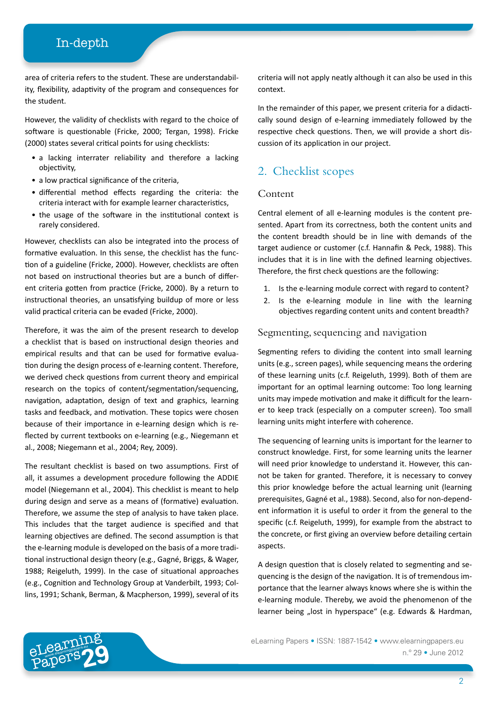area of criteria refers to the student. These are understandability, flexibility, adaptivity of the program and consequences for the student.

However, the validity of checklists with regard to the choice of software is questionable (Fricke, 2000; Tergan, 1998). Fricke (2000) states several critical points for using checklists:

- a lacking interrater reliability and therefore a lacking objectivity,
- a low practical significance of the criteria,
- differential method effects regarding the criteria: the criteria interact with for example learner characteristics,
- the usage of the software in the institutional context is rarely considered.

However, checklists can also be integrated into the process of formative evaluation. In this sense, the checklist has the function of a guideline (Fricke, 2000). However, checklists are often not based on instructional theories but are a bunch of different criteria gotten from practice (Fricke, 2000). By a return to instructional theories, an unsatisfying buildup of more or less valid practical criteria can be evaded (Fricke, 2000).

Therefore, it was the aim of the present research to develop a checklist that is based on instructional design theories and empirical results and that can be used for formative evaluation during the design process of e-learning content. Therefore, we derived check questions from current theory and empirical research on the topics of content/segmentation/sequencing, navigation, adaptation, design of text and graphics, learning tasks and feedback, and motivation. These topics were chosen because of their importance in e-learning design which is reflected by current textbooks on e-learning (e.g., Niegemann et al., 2008; Niegemann et al., 2004; Rey, 2009).

The resultant checklist is based on two assumptions. First of all, it assumes a development procedure following the ADDIE model (Niegemann et al., 2004). This checklist is meant to help during design and serve as a means of (formative) evaluation. Therefore, we assume the step of analysis to have taken place. This includes that the target audience is specified and that learning objectives are defined. The second assumption is that the e-learning module is developed on the basis of a more traditional instructional design theory (e.g., Gagné, Briggs, & Wager, 1988; Reigeluth, 1999). In the case of situational approaches (e.g., Cognition and Technology Group at Vanderbilt, 1993; Collins, 1991; Schank, Berman, & Macpherson, 1999), several of its

criteria will not apply neatly although it can also be used in this context.

In the remainder of this paper, we present criteria for a didactically sound design of e-learning immediately followed by the respective check questions. Then, we will provide a short discussion of its application in our project.

# 2. Checklist scopes

#### Content

Central element of all e-learning modules is the content presented. Apart from its correctness, both the content units and the content breadth should be in line with demands of the target audience or customer (c.f. Hannafin & Peck, 1988). This includes that it is in line with the defined learning objectives. Therefore, the first check questions are the following:

- 1. Is the e-learning module correct with regard to content?
- 2. Is the e-learning module in line with the learning objectives regarding content units and content breadth?

#### Segmenting, sequencing and navigation

Segmenting refers to dividing the content into small learning units (e.g., screen pages), while sequencing means the ordering of these learning units (c.f. Reigeluth, 1999). Both of them are important for an optimal learning outcome: Too long learning units may impede motivation and make it difficult for the learner to keep track (especially on a computer screen). Too small learning units might interfere with coherence.

The sequencing of learning units is important for the learner to construct knowledge. First, for some learning units the learner will need prior knowledge to understand it. However, this cannot be taken for granted. Therefore, it is necessary to convey this prior knowledge before the actual learning unit (learning prerequisites, Gagné et al., 1988). Second, also for non-dependent information it is useful to order it from the general to the specific (c.f. Reigeluth, 1999), for example from the abstract to the concrete, or first giving an overview before detailing certain aspects.

A design question that is closely related to segmenting and sequencing is the design of the navigation. It is of tremendous importance that the learner always knows where she is within the e-learning module. Thereby, we avoid the phenomenon of the learner being "lost in hyperspace" (e.g. Edwards & Hardman,

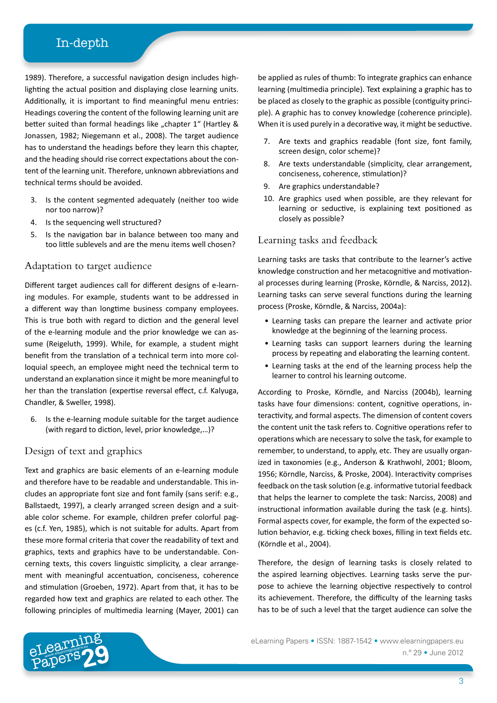1989). Therefore, a successful navigation design includes highlighting the actual position and displaying close learning units. Additionally, it is important to find meaningful menu entries: Headings covering the content of the following learning unit are better suited than formal headings like "chapter 1" (Hartley & Jonassen, 1982; Niegemann et al., 2008). The target audience has to understand the headings before they learn this chapter, and the heading should rise correct expectations about the content of the learning unit. Therefore, unknown abbreviations and technical terms should be avoided.

- 3. Is the content segmented adequately (neither too wide nor too narrow)?
- 4. Is the sequencing well structured?
- 5. Is the navigation bar in balance between too many and too little sublevels and are the menu items well chosen?

#### Adaptation to target audience

Different target audiences call for different designs of e-learning modules. For example, students want to be addressed in a different way than longtime business company employees. This is true both with regard to diction and the general level of the e-learning module and the prior knowledge we can assume (Reigeluth, 1999). While, for example, a student might benefit from the translation of a technical term into more colloquial speech, an employee might need the technical term to understand an explanation since it might be more meaningful to her than the translation (expertise reversal effect, c.f. Kalyuga, Chandler, & Sweller, 1998).

6. Is the e-learning module suitable for the target audience (with regard to diction, level, prior knowledge,…)?

#### Design of text and graphics

Text and graphics are basic elements of an e-learning module and therefore have to be readable and understandable. This includes an appropriate font size and font family (sans serif: e.g., Ballstaedt, 1997), a clearly arranged screen design and a suitable color scheme. For example, children prefer colorful pages (c.f. Yen, 1985), which is not suitable for adults. Apart from these more formal criteria that cover the readability of text and graphics, texts and graphics have to be understandable. Concerning texts, this covers linguistic simplicity, a clear arrangement with meaningful accentuation, conciseness, coherence and stimulation (Groeben, 1972). Apart from that, it has to be regarded how text and graphics are related to each other. The following principles of multimedia learning (Mayer, 2001) can

be applied as rules of thumb: To integrate graphics can enhance learning (multimedia principle). Text explaining a graphic has to be placed as closely to the graphic as possible (contiguity principle). A graphic has to convey knowledge (coherence principle). When it is used purely in a decorative way, it might be seductive.

- 7. Are texts and graphics readable (font size, font family, screen design, color scheme)?
- 8. Are texts understandable (simplicity, clear arrangement, conciseness, coherence, stimulation)?
- 9. Are graphics understandable?
- 10. Are graphics used when possible, are they relevant for learning or seductive, is explaining text positioned as closely as possible?

#### Learning tasks and feedback

Learning tasks are tasks that contribute to the learner's active knowledge construction and her metacognitive and motivational processes during learning (Proske, Körndle, & Narciss, 2012). Learning tasks can serve several functions during the learning process (Proske, Körndle, & Narciss, 2004a):

- Learning tasks can prepare the learner and activate prior knowledge at the beginning of the learning process.
- Learning tasks can support learners during the learning process by repeating and elaborating the learning content.
- Learning tasks at the end of the learning process help the learner to control his learning outcome.

According to Proske, Körndle, and Narciss (2004b), learning tasks have four dimensions: content, cognitive operations, interactivity, and formal aspects. The dimension of content covers the content unit the task refers to. Cognitive operations refer to operations which are necessary to solve the task, for example to remember, to understand, to apply, etc. They are usually organized in taxonomies (e.g., Anderson & Krathwohl, 2001; Bloom, 1956; Körndle, Narciss, & Proske, 2004). Interactivity comprises feedback on the task solution (e.g. informative tutorial feedback that helps the learner to complete the task: Narciss, 2008) and instructional information available during the task (e.g. hints). Formal aspects cover, for example, the form of the expected solution behavior, e.g. ticking check boxes, filling in text fields etc. (Körndle et al., 2004).

Therefore, the design of learning tasks is closely related to the aspired learning objectives. Learning tasks serve the purpose to achieve the learning objective respectively to control its achievement. Therefore, the difficulty of the learning tasks has to be of such a level that the target audience can solve the

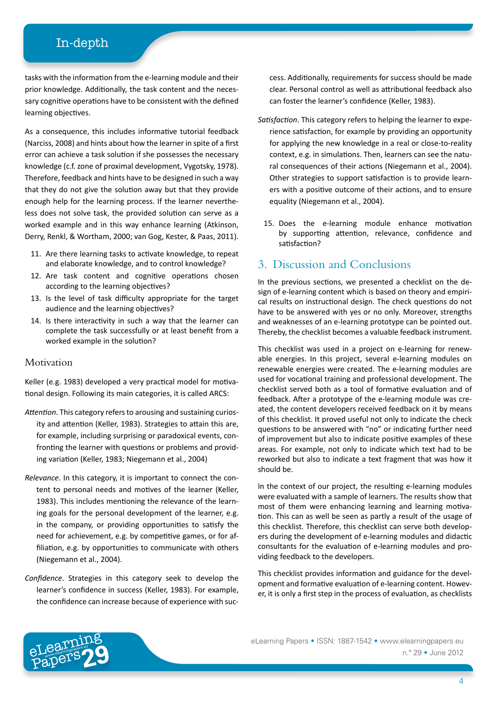tasks with the information from the e-learning module and their prior knowledge. Additionally, the task content and the necessary cognitive operations have to be consistent with the defined learning objectives.

As a consequence, this includes informative tutorial feedback (Narciss, 2008) and hints about how the learner in spite of a first error can achieve a task solution if she possesses the necessary knowledge (c.f. zone of proximal development, Vygotsky, 1978). Therefore, feedback and hints have to be designed in such a way that they do not give the solution away but that they provide enough help for the learning process. If the learner nevertheless does not solve task, the provided solution can serve as a worked example and in this way enhance learning (Atkinson, Derry, Renkl, & Wortham, 2000; van Gog, Kester, & Paas, 2011).

- 11. Are there learning tasks to activate knowledge, to repeat and elaborate knowledge, and to control knowledge?
- 12. Are task content and cognitive operations chosen according to the learning objectives?
- 13. Is the level of task difficulty appropriate for the target audience and the learning objectives?
- 14. Is there interactivity in such a way that the learner can complete the task successfully or at least benefit from a worked example in the solution?

#### **Motivation**

Keller (e.g. 1983) developed a very practical model for motivational design. Following its main categories, it is called ARCS:

- *Attention*. This category refers to arousing and sustaining curiosity and attention (Keller, 1983). Strategies to attain this are, for example, including surprising or paradoxical events, confronting the learner with questions or problems and providing variation (Keller, 1983; Niegemann et al., 2004)
- *Relevance*. In this category, it is important to connect the content to personal needs and motives of the learner (Keller, 1983). This includes mentioning the relevance of the learning goals for the personal development of the learner, e.g. in the company, or providing opportunities to satisfy the need for achievement, e.g. by competitive games, or for affiliation, e.g. by opportunities to communicate with others (Niegemann et al., 2004).
- *Confidence*. Strategies in this category seek to develop the learner's confidence in success (Keller, 1983). For example, the confidence can increase because of experience with suc-

cess. Additionally, requirements for success should be made clear. Personal control as well as attributional feedback also can foster the learner's confidence (Keller, 1983).

- *Satisfaction*. This category refers to helping the learner to experience satisfaction, for example by providing an opportunity for applying the new knowledge in a real or close-to-reality context, e.g. in simulations. Then, learners can see the natural consequences of their actions (Niegemann et al., 2004). Other strategies to support satisfaction is to provide learners with a positive outcome of their actions, and to ensure equality (Niegemann et al., 2004).
	- 15. Does the e-learning module enhance motivation by supporting attention, relevance, confidence and satisfaction?

### 3. Discussion and Conclusions

In the previous sections, we presented a checklist on the design of e-learning content which is based on theory and empirical results on instructional design. The check questions do not have to be answered with yes or no only. Moreover, strengths and weaknesses of an e-learning prototype can be pointed out. Thereby, the checklist becomes a valuable feedback instrument.

This checklist was used in a project on e-learning for renewable energies. In this project, several e-learning modules on renewable energies were created. The e-learning modules are used for vocational training and professional development. The checklist served both as a tool of formative evaluation and of feedback. After a prototype of the e-learning module was created, the content developers received feedback on it by means of this checklist. It proved useful not only to indicate the check questions to be answered with "no" or indicating further need of improvement but also to indicate positive examples of these areas. For example, not only to indicate which text had to be reworked but also to indicate a text fragment that was how it should be.

In the context of our project, the resulting e-learning modules were evaluated with a sample of learners. The results show that most of them were enhancing learning and learning motivation. This can as well be seen as partly a result of the usage of this checklist. Therefore, this checklist can serve both developers during the development of e-learning modules and didactic consultants for the evaluation of e-learning modules and providing feedback to the developers.

This checklist provides information and guidance for the development and formative evaluation of e-learning content. However, it is only a first step in the process of evaluation, as checklists

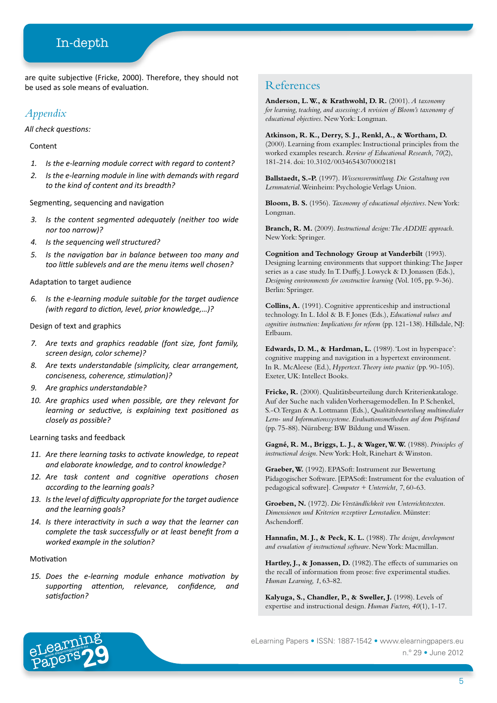are quite subjective (Fricke, 2000). Therefore, they should not be used as sole means of evaluation.

#### *Appendix*

*All check questions:*

Content

- *1. Is the e-learning module correct with regard to content?*
- *2. Is the e-learning module in line with demands with regard to the kind of content and its breadth?*

Segmenting, sequencing and navigation

- *3. Is the content segmented adequately (neither too wide nor too narrow)?*
- *4. Is the sequencing well structured?*
- *5. Is the navigation bar in balance between too many and too little sublevels and are the menu items well chosen?*

Adaptation to target audience

*6. Is the e-learning module suitable for the target audience (with regard to diction, level, prior knowledge,…)?*

Design of text and graphics

- *7. Are texts and graphics readable (font size, font family, screen design, color scheme)?*
- *8. Are texts understandable (simplicity, clear arrangement, conciseness, coherence, stimulation)?*
- *9. Are graphics understandable?*
- *10. Are graphics used when possible, are they relevant for learning or seductive, is explaining text positioned as closely as possible?*

Learning tasks and feedback

- *11. Are there learning tasks to activate knowledge, to repeat and elaborate knowledge, and to control knowledge?*
- *12. Are task content and cognitive operations chosen according to the learning goals?*
- *13. Is the level of difficulty appropriate for the target audience and the learning goals?*
- *14. Is there interactivity in such a way that the learner can complete the task successfully or at least benefit from a worked example in the solution?*

#### Motivation

*15. Does the e-learning module enhance motivation by supporting attention, relevance, confidence, and satisfaction?*

#### References

**Anderson, L. W., & Krathwohl, D. R.** (2001). *A taxonomy for learning, teaching, and assessing: A revision of Bloom's taxonomy of educational objectives*. New York: Longman.

**Atkinson, R. K., Derry, S. J., Renkl, A., & Wortham, D.** (2000). Learning from examples: Instructional principles from the worked examples research. *Review of Educational Research, 70*(2), 181-214. doi: 10.3102/00346543070002181

**Ballstaedt, S.-P.** (1997). *Wissensvermittlung. Die Gestaltung von Lernmaterial*. Weinheim: Psychologie Verlags Union.

**Bloom, B. S.** (1956). *Taxonomy of educational objectives*. New York: Longman.

**Branch, R. M.** (2009). *Instructional design: The ADDIE approach*. New York: Springer.

**Cognition and Technology Group at Vanderbilt** (1993). Designing learning environments that support thinking: The Jasper series as a case study. In T. Duffy, J. Lowyck & D. Jonassen (Eds.), *Designing environments for constructive learning* (Vol. 105, pp. 9-36). Berlin: Springer.

**Collins, A.** (1991). Cognitive apprenticeship and instructional technology. In L. Idol & B. F. Jones (Eds.), *Educational values and cognitive instruction: Implications for reform* (pp. 121-138). Hillsdale, NJ: Erlbaum.

**Edwards, D. M., & Hardman, L.** (1989). 'Lost in hyperspace': cognitive mapping and navigation in a hypertext environment. In R. McAleese (Ed.), *Hypertext. Theory into practice* (pp. 90-105). Exeter, UK: Intellect Books.

**Fricke, R.** (2000). Qualitätsbeurteilung durch Kriterienkataloge. Auf der Suche nach validen Vorhersagemodellen. In P. Schenkel, S.-O. Tergan & A. Lottmann (Eds.), *Qualitätsbeurteilung multimedialer Lern- und Informationssysteme. Evaluationsmethoden auf dem Prüfstand* (pp. 75-88). Nürnberg: BW Bildung und Wissen.

**Gagné, R. M., Briggs, L. J., & Wager, W. W.** (1988). *Principles of instructional design*. New York: Holt, Rinehart & Winston.

**Graeber, W.** (1992). EPASoft: Instrument zur Bewertung Pädagogischer Software. [EPASoft: Instrument for the evaluation of pedagogical software]. *Computer + Unterricht, 7*, 60-63.

**Groeben, N.** (1972). *Die Verständlichkeit von Unterrichtstexten. Dimensionen und Kriterien rezeptiver Lernstadien*. Münster: Aschendorff.

**Hannafin, M. J., & Peck, K. L.** (1988). *The design, development and evualation of instructional software*. New York: Macmillan.

Hartley, J., & Jonassen, D. (1982). The effects of summaries on the recall of information from prose: five experimental studies. *Human Learning, 1*, 63-82.

**Kalyuga, S., Chandler, P., & Sweller, J.** (1998). Levels of expertise and instructional design. *Human Factors, 40*(1), 1-17.